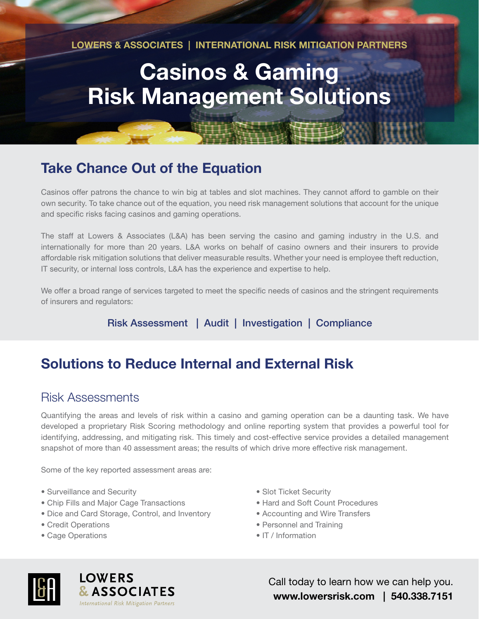**LOWERS & ASSOCIATES | INTERNATIONAL RISK MITIGATION PARTNERS**

# **Casinos & Gaming Risk Management Solutions**

# **Take Chance Out of the Equation**

Casinos offer patrons the chance to win big at tables and slot machines. They cannot afford to gamble on their own security. To take chance out of the equation, you need risk management solutions that account for the unique and specific risks facing casinos and gaming operations.

The staff at Lowers & Associates (L&A) has been serving the casino and gaming industry in the U.S. and internationally for more than 20 years. L&A works on behalf of casino owners and their insurers to provide affordable risk mitigation solutions that deliver measurable results. Whether your need is employee theft reduction, IT security, or internal loss controls, L&A has the experience and expertise to help.

We offer a broad range of services targeted to meet the specific needs of casinos and the stringent requirements of insurers and regulators:

Risk Assessment | Audit | Investigation | Compliance

# **Solutions to Reduce Internal and External Risk**

#### Risk Assessments

Quantifying the areas and levels of risk within a casino and gaming operation can be a daunting task. We have developed a proprietary Risk Scoring methodology and online reporting system that provides a powerful tool for identifying, addressing, and mitigating risk. This timely and cost-effective service provides a detailed management snapshot of more than 40 assessment areas; the results of which drive more effective risk management.

Some of the key reported assessment areas are:

- Surveillance and Security
- Chip Fills and Major Cage Transactions
- Dice and Card Storage, Control, and Inventory
- Credit Operations
- Cage Operations
- Slot Ticket Security
- Hard and Soft Count Procedures
- Accounting and Wire Transfers
- Personnel and Training
- IT / Information



**LOWERS & ASSOCIATES International Risk Mitigation Partners** 

Call today to learn how we can help you. **www.lowersrisk.com | 540.338.7151**